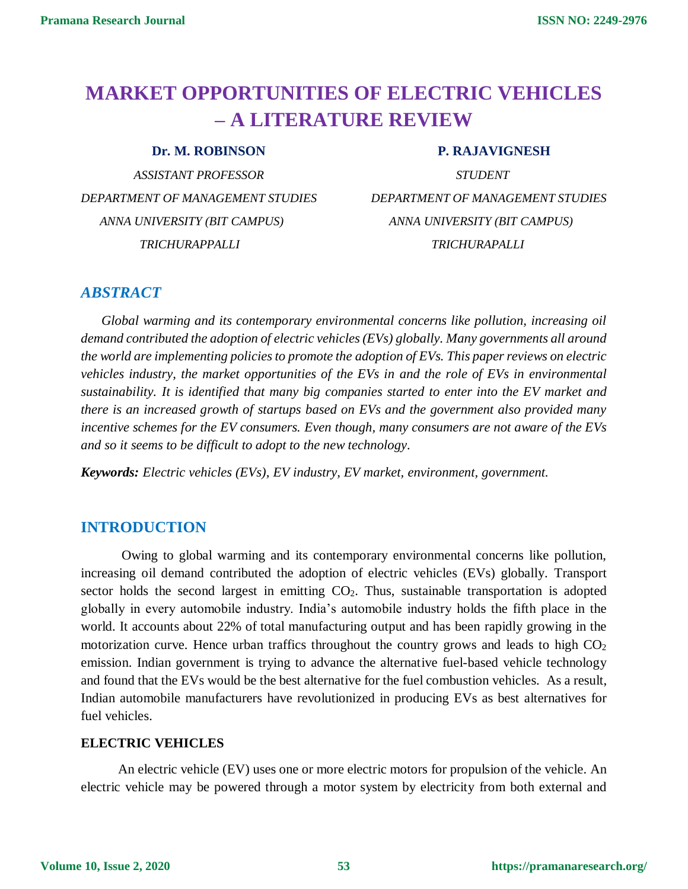# **MARKET OPPORTUNITIES OF ELECTRIC VEHICLES – A LITERATURE REVIEW**

 *ASSISTANT PROFESSOR STUDENT DEPARTMENT OF MANAGEMENT STUDIES DEPARTMENT OF MANAGEMENT STUDIES ANNA UNIVERSITY (BIT CAMPUS) ANNA UNIVERSITY (BIT CAMPUS) TRICHURAPPALLI TRICHURAPALLI*

#### **Dr. M. ROBINSON P. RAJAVIGNESH**

### *ABSTRACT*

 *Global warming and its contemporary environmental concerns like pollution, increasing oil demand contributed the adoption of electric vehicles (EVs) globally. Many governments all around the world are implementing policies to promote the adoption of EVs. This paper reviews on electric vehicles industry, the market opportunities of the EVs in and the role of EVs in environmental sustainability. It is identified that many big companies started to enter into the EV market and there is an increased growth of startups based on EVs and the government also provided many incentive schemes for the EV consumers. Even though, many consumers are not aware of the EVs and so it seems to be difficult to adopt to the new technology.*

*Keywords: Electric vehicles (EVs), EV industry, EV market, environment, government.* 

# **INTRODUCTION**

 Owing to global warming and its contemporary environmental concerns like pollution, increasing oil demand contributed the adoption of electric vehicles (EVs) globally. Transport sector holds the second largest in emitting  $CO<sub>2</sub>$ . Thus, sustainable transportation is adopted globally in every automobile industry. India's automobile industry holds the fifth place in the world. It accounts about 22% of total manufacturing output and has been rapidly growing in the motorization curve. Hence urban traffics throughout the country grows and leads to high  $CO<sub>2</sub>$ emission. Indian government is trying to advance the alternative fuel-based vehicle technology and found that the EVs would be the best alternative for the fuel combustion vehicles. As a result, Indian automobile manufacturers have revolutionized in producing EVs as best alternatives for fuel vehicles.

#### **ELECTRIC VEHICLES**

 An electric vehicle (EV) uses one or more electric motors for propulsion of the vehicle. An electric vehicle may be powered through a motor system by electricity from both external and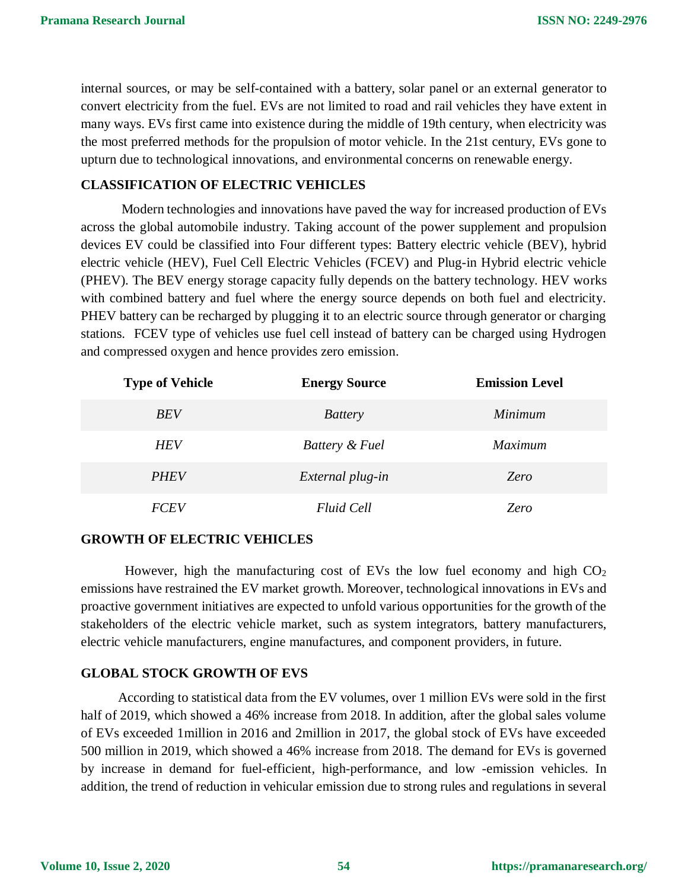internal sources, or may be self-contained with a battery, solar panel or an external generator to convert electricity from the fuel. EVs are not limited to road and rail vehicles they have extent in many ways. EVs first came into existence during the middle of 19th century, when electricity was the most preferred methods for the propulsion of motor vehicle. In the 21st century, EVs gone to upturn due to technological innovations, and environmental concerns on renewable energy.

#### **CLASSIFICATION OF ELECTRIC VEHICLES**

 Modern technologies and innovations have paved the way for increased production of EVs across the global automobile industry. Taking account of the power supplement and propulsion devices EV could be classified into Four different types: Battery electric vehicle (BEV), hybrid electric vehicle (HEV), Fuel Cell Electric Vehicles (FCEV) and Plug-in Hybrid electric vehicle (PHEV). The BEV energy storage capacity fully depends on the battery technology. HEV works with combined battery and fuel where the energy source depends on both fuel and electricity. PHEV battery can be recharged by plugging it to an electric source through generator or charging stations. FCEV type of vehicles use fuel cell instead of battery can be charged using Hydrogen and compressed oxygen and hence provides zero emission.

| <b>Type of Vehicle</b> | <b>Energy Source</b> | <b>Emission Level</b> |
|------------------------|----------------------|-----------------------|
| <b>BEV</b>             | <b>Battery</b>       | <i>Minimum</i>        |
| <b>HEV</b>             | Battery & Fuel       | <i>Maximum</i>        |
| <b>PHEV</b>            | External plug-in     | Zero                  |
| <i>FCEV</i>            | <b>Fluid Cell</b>    | Zero                  |

#### **GROWTH OF ELECTRIC VEHICLES**

However, high the manufacturing cost of EVs the low fuel economy and high  $CO<sub>2</sub>$ emissions have restrained the EV market growth. Moreover, technological innovations in EVs and proactive government initiatives are expected to unfold various opportunities for the growth of the stakeholders of the electric vehicle market, such as system integrators, battery manufacturers, electric vehicle manufacturers, engine manufactures, and component providers, in future.

#### **GLOBAL STOCK GROWTH OF EVS**

According to statistical data from the EV volumes, over 1 million EVs were sold in the first half of 2019, which showed a 46% increase from 2018. In addition, after the global sales volume of EVs exceeded 1million in 2016 and 2million in 2017, the global stock of EVs have exceeded 500 million in 2019, which showed a 46% increase from 2018. The demand for EVs is governed by increase in demand for fuel-efficient, high-performance, and low -emission vehicles. In addition, the trend of reduction in vehicular emission due to strong rules and regulations in several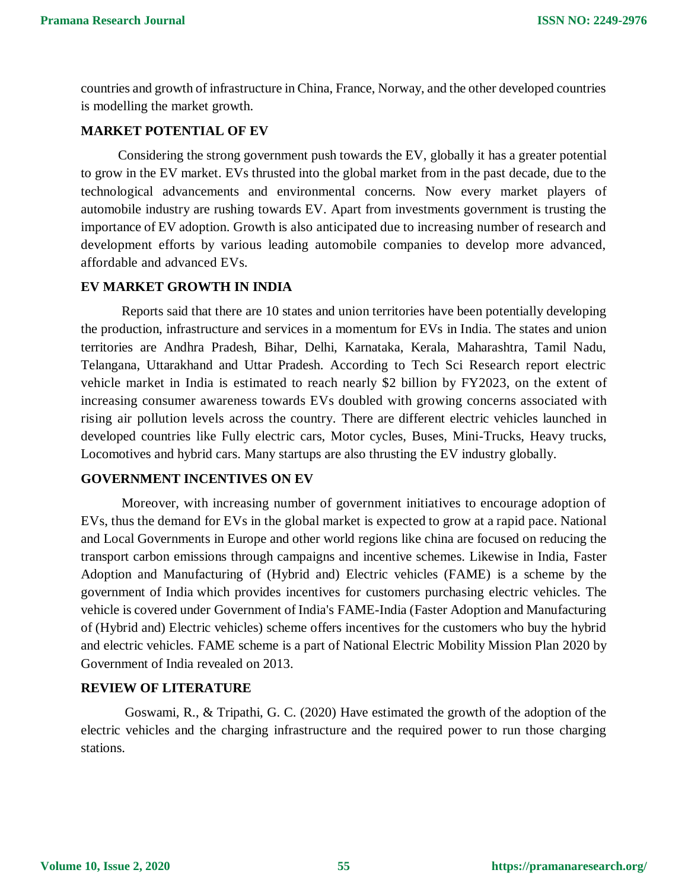countries and growth of infrastructure in China, France, Norway, and the other developed countries is modelling the market growth.

#### **MARKET POTENTIAL OF EV**

 Considering the strong government push towards the EV, globally it has a greater potential to grow in the EV market. EVs thrusted into the global market from in the past decade, due to the technological advancements and environmental concerns. Now every market players of automobile industry are rushing towards EV. Apart from investments government is trusting the importance of EV adoption. Growth is also anticipated due to increasing number of research and development efforts by various leading automobile companies to develop more advanced, affordable and advanced EVs.

#### **EV MARKET GROWTH IN INDIA**

Reports said that there are 10 states and union territories have been potentially developing the production, infrastructure and services in a momentum for EVs in India. The states and union territories are Andhra Pradesh, Bihar, Delhi, Karnataka, Kerala, Maharashtra, Tamil Nadu, Telangana, Uttarakhand and Uttar Pradesh. According to Tech Sci Research report electric vehicle market in India is estimated to reach nearly \$2 billion by FY2023, on the extent of increasing consumer awareness towards EVs doubled with growing concerns associated with rising air pollution levels across the country. There are different electric vehicles launched in developed countries like Fully electric cars, Motor cycles, Buses, Mini-Trucks, Heavy trucks, Locomotives and hybrid cars. Many startups are also thrusting the EV industry globally.

#### **GOVERNMENT INCENTIVES ON EV**

 Moreover, with increasing number of government initiatives to encourage adoption of EVs, thus the demand for EVs in the global market is expected to grow at a rapid pace. National and Local Governments in Europe and other world regions like china are focused on reducing the transport carbon emissions through campaigns and incentive schemes. Likewise in India, [Faster](https://en.wikipedia.org/wiki/Faster_Adoption_and_Manufacturing_of_Hybrid_and_Electric_vehicles_(FAME)_scheme)  [Adoption and Manufacturing of \(Hybrid and\)](https://en.wikipedia.org/wiki/Faster_Adoption_and_Manufacturing_of_Hybrid_and_Electric_vehicles_(FAME)_scheme) Electric vehicles (FAME) is a scheme by the government of India which provides incentives for customers purchasing electric vehicles. The vehicle is covered under [Government of India's](https://en.wikipedia.org/wiki/Government_of_India) [FAME-India](https://en.wikipedia.org/wiki/Faster_Adoption_and_Manufacturing_of_Hybrid_and_Electric_vehicles_(FAME)_scheme) (Faster Adoption and Manufacturing of (Hybrid and) Electric vehicles) scheme offers incentives for the customers who buy the hybrid and electric vehicles. FAME scheme is a part of National Electric Mobility Mission Plan 2020 by Government of India revealed on 2013.

#### **REVIEW OF LITERATURE**

 Goswami, R., & Tripathi, G. C. (2020) Have estimated the growth of the adoption of the electric vehicles and the charging infrastructure and the required power to run those charging stations.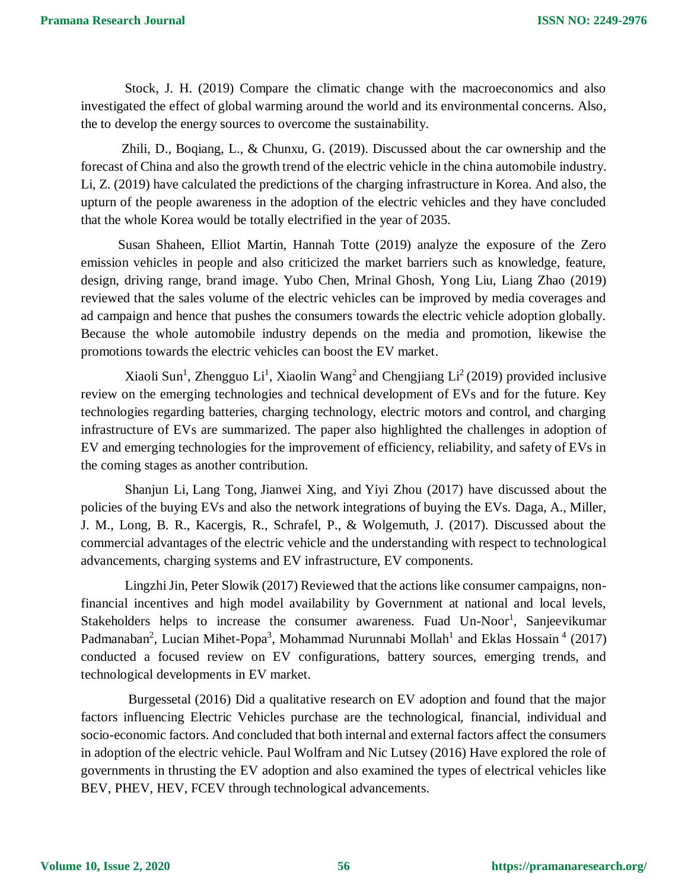Stock, J. H. (2019) Compare the climatic change with the macroeconomics and also investigated the effect of global warming around the world and its environmental concerns. Also, the to develop the energy sources to overcome the sustainability.

 Zhili, D., Boqiang, L., & Chunxu, G. (2019). Discussed about the car ownership and the forecast of China and also the growth trend of the electric vehicle in the china automobile industry. Li, Z. (2019) have calculated the predictions of the charging infrastructure in Korea. And also, the upturn of the people awareness in the adoption of the electric vehicles and they have concluded that the whole Korea would be totally electrified in the year of 2035.

 Susan Shaheen, Elliot Martin, Hannah Totte (2019) analyze the exposure of the Zero emission vehicles in people and also criticized the market barriers such as knowledge, feature, design, driving range, brand image. Yubo Chen, Mrinal Ghosh, Yong Liu, Liang Zhao (2019) reviewed that the sales volume of the electric vehicles can be improved by media coverages and ad campaign and hence that pushes the consumers towards the electric vehicle adoption globally. Because the whole automobile industry depends on the media and promotion, likewise the promotions towards the electric vehicles can boost the EV market.

Xiaoli Sun<sup>1</sup>, Zhengguo Li<sup>1</sup>, Xiaolin Wang<sup>2</sup> and Chengjiang Li<sup>2</sup> (2019) provided inclusive review on the emerging technologies and technical development of EVs and for the future. Key technologies regarding batteries, charging technology, electric motors and control, and charging infrastructure of EVs are summarized. The paper also highlighted the challenges in adoption of EV and emerging technologies for the improvement of efficiency, reliability, and safety of EVs in the coming stages as another contribution.

 Shanjun Li, Lang Tong, Jianwei Xing, and Yiyi Zhou (2017) have discussed about the policies of the buying EVs and also the network integrations of buying the EVs. Daga, A., Miller, J. M., Long, B. R., Kacergis, R., Schrafel, P., & Wolgemuth, J. (2017). Discussed about the commercial advantages of the electric vehicle and the understanding with respect to technological advancements, charging systems and EV infrastructure, EV components.

 Lingzhi Jin, Peter Slowik (2017) Reviewed that the actions like consumer campaigns, nonfinancial incentives and high model availability by Government at national and local levels, Stakeholders helps to increase the consumer awareness. Fuad Un-Noor<sup>1</sup>, Sanjeevikumar Padmanaban<sup>2</sup>, Lucian Mihet-Popa<sup>3</sup>, Mohammad Nurunnabi Mollah<sup>1</sup> and Eklas Hossain<sup>4</sup> (2017) conducted a focused review on EV configurations, battery sources, emerging trends, and technological developments in EV market.

 Burgessetal (2016) Did a qualitative research on EV adoption and found that the major factors influencing Electric Vehicles purchase are the technological, financial, individual and socio-economic factors. And concluded that both internal and external factors affect the consumers in adoption of the electric vehicle. Paul Wolfram and Nic Lutsey (2016) Have explored the role of governments in thrusting the EV adoption and also examined the types of electrical vehicles like BEV, PHEV, HEV, FCEV through technological advancements.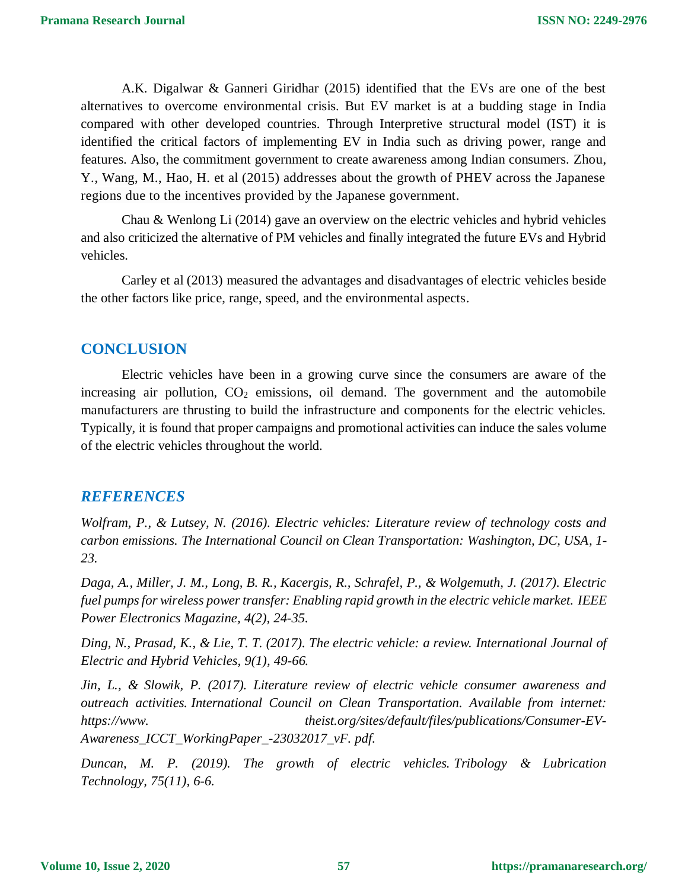A.K. Digalwar & Ganneri Giridhar (2015) identified that the EVs are one of the best alternatives to overcome environmental crisis. But EV market is at a budding stage in India compared with other developed countries. Through Interpretive structural model (IST) it is identified the critical factors of implementing EV in India such as driving power, range and features. Also, the commitment government to create awareness among Indian consumers. Zhou, Y., Wang, M., Hao, H. et al (2015) addresses about the growth of PHEV across the Japanese regions due to the incentives provided by the Japanese government.

 Chau & Wenlong Li (2014) gave an overview on the electric vehicles and hybrid vehicles and also criticized the alternative of PM vehicles and finally integrated the future EVs and Hybrid vehicles.

 Carley et al (2013) measured the advantages and disadvantages of electric vehicles beside the other factors like price, range, speed, and the environmental aspects.

## **CONCLUSION**

Electric vehicles have been in a growing curve since the consumers are aware of the increasing air pollution,  $CO<sub>2</sub>$  emissions, oil demand. The government and the automobile manufacturers are thrusting to build the infrastructure and components for the electric vehicles. Typically, it is found that proper campaigns and promotional activities can induce the sales volume of the electric vehicles throughout the world.

# *REFERENCES*

*Wolfram, P., & Lutsey, N. (2016). Electric vehicles: Literature review of technology costs and carbon emissions. The International Council on Clean Transportation: Washington, DC, USA, 1- 23.*

*Daga, A., Miller, J. M., Long, B. R., Kacergis, R., Schrafel, P., & Wolgemuth, J. (2017). Electric fuel pumps for wireless power transfer: Enabling rapid growth in the electric vehicle market. IEEE Power Electronics Magazine, 4(2), 24-35.*

*Ding, N., Prasad, K., & Lie, T. T. (2017). The electric vehicle: a review. International Journal of Electric and Hybrid Vehicles, 9(1), 49-66.*

*Jin, L., & Slowik, P. (2017). Literature review of electric vehicle consumer awareness and outreach activities. International Council on Clean Transportation. Available from internet: https://www. theist.org/sites/default/files/publications/Consumer-EV-Awareness\_ICCT\_WorkingPaper\_-23032017\_vF. pdf.*

*Duncan, M. P. (2019). The growth of electric vehicles. Tribology & Lubrication Technology, 75(11), 6-6.*